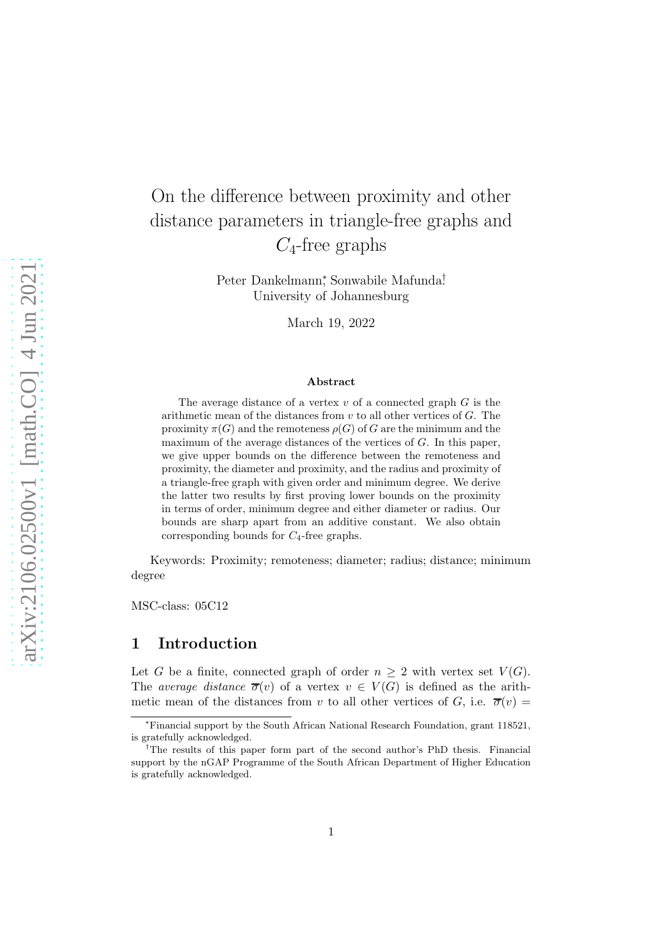# On the difference between proximity and other distance parameters in triangle-free graphs and  $C_4$ -free graphs

Peter Dankelmann<sup>\*</sup>, Sonwabile Mafunda<sup>†</sup> University of Johannesburg

March 19, 2022

#### Abstract

The average distance of a vertex  $v$  of a connected graph  $G$  is the arithmetic mean of the distances from  $v$  to all other vertices of  $G$ . The proximity  $\pi(G)$  and the remoteness  $\rho(G)$  of G are the minimum and the maximum of the average distances of the vertices of  $G$ . In this paper, we give upper bounds on the difference between the remoteness and proximity, the diameter and proximity, and the radius and proximity of a triangle-free graph with given order and minimum degree. We derive the latter two results by first proving lower bounds on the proximity in terms of order, minimum degree and either diameter or radius. Our bounds are sharp apart from an additive constant. We also obtain corresponding bounds for  $C_4$ -free graphs.

Keywords: Proximity; remoteness; diameter; radius; distance; minimum degree

MSC-class: 05C12

## 1 Introduction

Let G be a finite, connected graph of order  $n \geq 2$  with vertex set  $V(G)$ . The average distance  $\overline{\sigma}(v)$  of a vertex  $v \in V(G)$  is defined as the arithmetic mean of the distances from v to all other vertices of G, i.e.  $\overline{\sigma}(v)$  =

<sup>∗</sup>Financial support by the South African National Research Foundation, grant 118521, is gratefully acknowledged.

<sup>†</sup>The results of this paper form part of the second author's PhD thesis. Financial support by the nGAP Programme of the South African Department of Higher Education is gratefully acknowledged.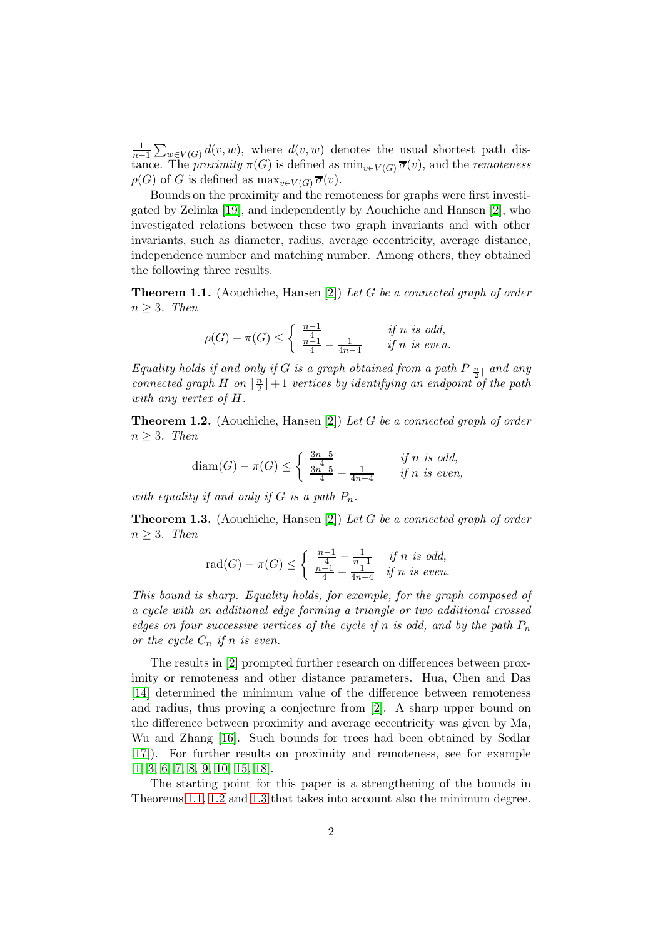1  $\frac{1}{n-1}\sum_{w\in V(G)}d(v,w)$ , where  $d(v,w)$  denotes the usual shortest path distance. The *proximity*  $\pi(G)$  is defined as  $\min_{v \in V(G)} \overline{\sigma}(v)$ , and the *remoteness*  $\rho(G)$  of G is defined as  $\max_{v \in V(G)} \overline{\sigma}(v)$ .

Bounds on the proximity and the remoteness for graphs were first investigated by Zelinka [\[19\]](#page-19-0), and independently by Aouchiche and Hansen [\[2\]](#page-18-0), who investigated relations between these two graph invariants and with other invariants, such as diameter, radius, average eccentricity, average distance, independence number and matching number. Among others, they obtained the following three results.

<span id="page-1-0"></span>**Theorem 1.1.** (Aouchiche, Hansen [\[2\]](#page-18-0)) Let G be a connected graph of order  $n \geq 3$ . Then

$$
\rho(G) - \pi(G) \le \begin{cases} \frac{n-1}{4} & \text{if } n \text{ is odd,} \\ \frac{n-1}{4} - \frac{1}{4n-4} & \text{if } n \text{ is even.} \end{cases}
$$

Equality holds if and only if G is a graph obtained from a path  $P_{\lceil \frac{n}{2} \rceil}$  and any connected graph H on  $\lfloor \frac{n}{2} \rfloor$  $\frac{n}{2} \rfloor + 1$  vertices by identifying an endpoint of the path with any vertex of H.

<span id="page-1-1"></span>**Theorem 1.2.** (Aouchiche, Hansen [\[2\]](#page-18-0)) Let G be a connected graph of order  $n \geq 3$ . Then

$$
\text{diam}(G) - \pi(G) \le \begin{cases} \frac{3n-5}{4} & \text{if } n \text{ is odd,} \\ \frac{3n-5}{4} - \frac{1}{4n-4} & \text{if } n \text{ is even,} \end{cases}
$$

with equality if and only if G is a path  $P_n$ .

<span id="page-1-2"></span>**Theorem 1.3.** (Aouchiche, Hansen [\[2\]](#page-18-0)) Let G be a connected graph of order  $n \geq 3$ . Then

$$
rad(G) - \pi(G) \le \begin{cases} \frac{n-1}{4} - \frac{1}{n-1} & \text{if } n \text{ is odd,} \\ \frac{n-1}{4} - \frac{1}{4n-4} & \text{if } n \text{ is even.} \end{cases}
$$

This bound is sharp. Equality holds, for example, for the graph composed of a cycle with an additional edge forming a triangle or two additional crossed edges on four successive vertices of the cycle if n is odd, and by the path  $P_n$ or the cycle  $C_n$  if n is even.

The results in [\[2\]](#page-18-0) prompted further research on differences between proximity or remoteness and other distance parameters. Hua, Chen and Das [\[14\]](#page-19-1) determined the minimum value of the difference between remoteness and radius, thus proving a conjecture from [\[2\]](#page-18-0). A sharp upper bound on the difference between proximity and average eccentricity was given by Ma, Wu and Zhang [\[16\]](#page-19-2). Such bounds for trees had been obtained by Sedlar [\[17\]](#page-19-3)). For further results on proximity and remoteness, see for example [\[1,](#page-18-1) [3,](#page-18-2) [6,](#page-19-4) [7,](#page-19-5) [8,](#page-19-6) [9,](#page-19-7) [10,](#page-19-8) [15,](#page-19-9) [18\]](#page-19-10).

The starting point for this paper is a strengthening of the bounds in Theorems [1.1,](#page-1-0) [1.2](#page-1-1) and [1.3](#page-1-2) that takes into account also the minimum degree.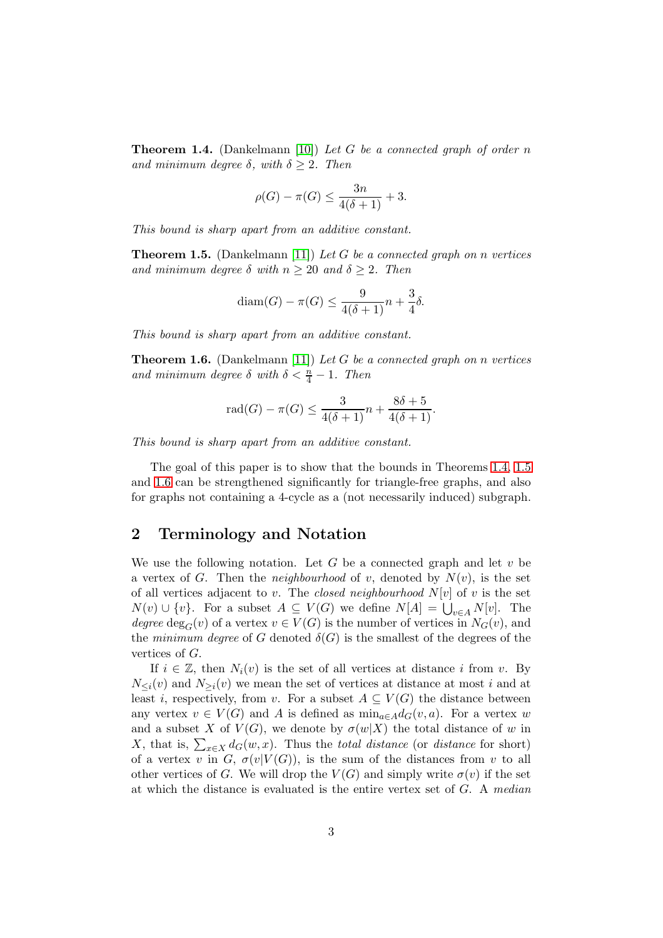<span id="page-2-0"></span>**Theorem 1.4.** (Dankelmann [\[10\]](#page-19-8)) Let G be a connected graph of order n and minimum degree  $\delta$ , with  $\delta \geq 2$ . Then

$$
\rho(G) - \pi(G) \le \frac{3n}{4(\delta + 1)} + 3.
$$

This bound is sharp apart from an additive constant.

<span id="page-2-1"></span>**Theorem 1.5.** (Dankelmann [\[11\]](#page-19-11)) Let G be a connected graph on n vertices and minimum degree  $\delta$  with  $n \geq 20$  and  $\delta \geq 2$ . Then

$$
diam(G) - \pi(G) \le \frac{9}{4(\delta+1)}n + \frac{3}{4}\delta.
$$

This bound is sharp apart from an additive constant.

<span id="page-2-2"></span>**Theorem 1.6.** (Dankelmann [\[11\]](#page-19-11)) Let G be a connected graph on n vertices and minimum degree  $\delta$  with  $\delta < \frac{n}{4} - 1$ . Then

$$
rad(G) - \pi(G) \le \frac{3}{4(\delta+1)}n + \frac{8\delta+5}{4(\delta+1)}.
$$

This bound is sharp apart from an additive constant.

The goal of this paper is to show that the bounds in Theorems [1.4,](#page-2-0) [1.5](#page-2-1) and [1.6](#page-2-2) can be strengthened significantly for triangle-free graphs, and also for graphs not containing a 4-cycle as a (not necessarily induced) subgraph.

# 2 Terminology and Notation

We use the following notation. Let G be a connected graph and let  $v$  be a vertex of G. Then the *neighbourhood* of v, denoted by  $N(v)$ , is the set of all vertices adjacent to v. The closed neighbourhood  $N[v]$  of v is the set  $N(v) \cup \{v\}$ . For a subset  $A \subseteq V(G)$  we define  $N[A] = \bigcup_{v \in A} N[v]$ . The degree  $\deg_G(v)$  of a vertex  $v \in V(G)$  is the number of vertices in  $N_G(v)$ , and the minimum degree of G denoted  $\delta(G)$  is the smallest of the degrees of the vertices of G.

If  $i \in \mathbb{Z}$ , then  $N_i(v)$  is the set of all vertices at distance i from v. By  $N_{\leq i}(v)$  and  $N_{\geq i}(v)$  we mean the set of vertices at distance at most i and at least i, respectively, from v. For a subset  $A \subseteq V(G)$  the distance between any vertex  $v \in V(G)$  and A is defined as  $\min_{a \in A} d_G(v, a)$ . For a vertex w and a subset X of  $V(G)$ , we denote by  $\sigma(w|X)$  the total distance of w in X, that is,  $\sum_{x \in X} d_G(w, x)$ . Thus the *total distance* (or *distance* for short) of a vertex v in G,  $\sigma(v|V(G))$ , is the sum of the distances from v to all other vertices of G. We will drop the  $V(G)$  and simply write  $\sigma(v)$  if the set at which the distance is evaluated is the entire vertex set of G. A median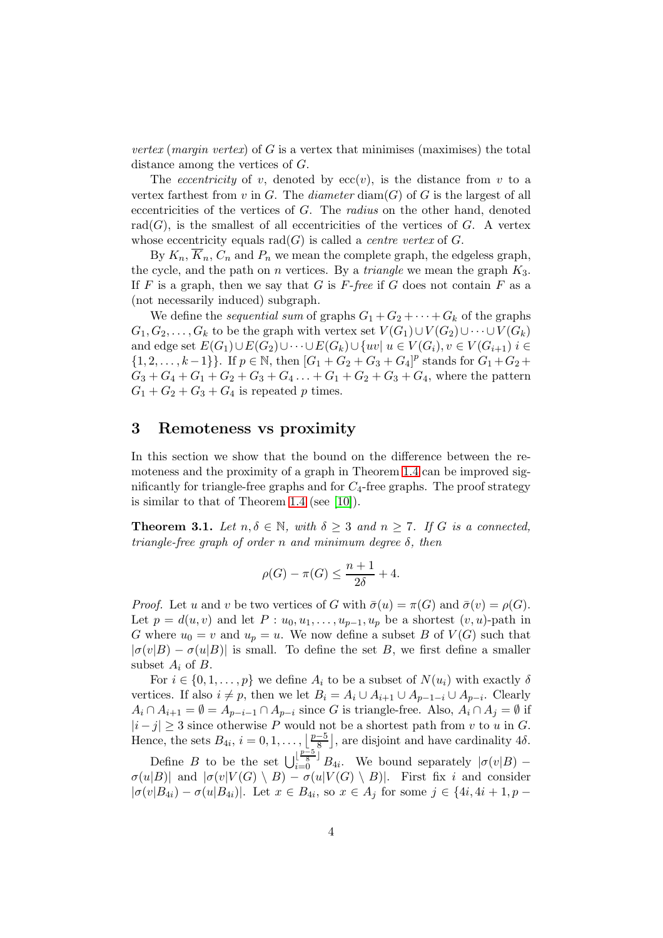vertex (margin vertex) of G is a vertex that minimises (maximises) the total distance among the vertices of G.

The *eccentricity* of v, denoted by  $ecc(v)$ , is the distance from v to a vertex farthest from v in G. The diameter  $\text{diam}(G)$  of G is the largest of all eccentricities of the vertices of G. The radius on the other hand, denoted  $rad(G)$ , is the smallest of all eccentricities of the vertices of G. A vertex whose eccentricity equals  $rad(G)$  is called a *centre vertex* of G.

By  $K_n$ ,  $\overline{K}_n$ ,  $C_n$  and  $P_n$  we mean the complete graph, the edgeless graph, the cycle, and the path on n vertices. By a *triangle* we mean the graph  $K_3$ . If  $F$  is a graph, then we say that  $G$  is  $F$ -free if  $G$  does not contain  $F$  as a (not necessarily induced) subgraph.

We define the *sequential sum* of graphs  $G_1 + G_2 + \cdots + G_k$  of the graphs  $G_1, G_2, \ldots, G_k$  to be the graph with vertex set  $V(G_1) \cup V(G_2) \cup \cdots \cup V(G_k)$ and edge set  $E(G_1) \cup E(G_2) \cup \cdots \cup E(G_k) \cup \{uv \mid u \in V(G_i), v \in V(G_{i+1}) \}$  $\{1, 2, \ldots, k-1\}\}\.$  If  $p \in \mathbb{N}$ , then  $[G_1 + G_2 + G_3 + G_4]^p$  stands for  $G_1 + G_2 + G_3$  $G_3 + G_4 + G_1 + G_2 + G_3 + G_4 + \ldots + G_1 + G_2 + G_3 + G_4$ , where the pattern  $G_1 + G_2 + G_3 + G_4$  is repeated p times.

#### 3 Remoteness vs proximity

In this section we show that the bound on the difference between the remoteness and the proximity of a graph in Theorem [1.4](#page-2-0) can be improved significantly for triangle-free graphs and for  $C_4$ -free graphs. The proof strategy is similar to that of Theorem [1.4](#page-2-0) (see [\[10\]](#page-19-8)).

<span id="page-3-0"></span>**Theorem 3.1.** Let  $n, \delta \in \mathbb{N}$ , with  $\delta \geq 3$  and  $n \geq 7$ . If G is a connected, triangle-free graph of order n and minimum degree  $\delta$ , then

$$
\rho(G) - \pi(G) \le \frac{n+1}{2\delta} + 4.
$$

*Proof.* Let u and v be two vertices of G with  $\bar{\sigma}(u) = \pi(G)$  and  $\bar{\sigma}(v) = \rho(G)$ . Let  $p = d(u, v)$  and let  $P : u_0, u_1, \ldots, u_{p-1}, u_p$  be a shortest  $(v, u)$ -path in G where  $u_0 = v$  and  $u_p = u$ . We now define a subset B of  $V(G)$  such that  $|\sigma(v|B) - \sigma(u|B)|$  is small. To define the set B, we first define a smaller subset  $A_i$  of  $B$ .

For  $i \in \{0, 1, \ldots, p\}$  we define  $A_i$  to be a subset of  $N(u_i)$  with exactly  $\delta$ vertices. If also  $i \neq p$ , then we let  $B_i = A_i \cup A_{i+1} \cup A_{p-1-i} \cup A_{p-i}$ . Clearly  $A_i \cap A_{i+1} = \emptyset = A_{p-i-1} \cap A_{p-i}$  since G is triangle-free. Also,  $A_i \cap A_j = \emptyset$  if  $|i-j| \geq 3$  since otherwise P would not be a shortest path from v to u in G. Hence, the sets  $B_{4i}, i = 0, 1, \ldots, \left\lfloor \frac{p-5}{8} \right\rfloor$  $\frac{-5}{8}$ , are disjoint and have cardinality 4 $\delta$ .

Define B to be the set  $\bigcup_{i=0}^{\lfloor \frac{p-5}{8} \rfloor} B_{4i}$ . We bound separately  $|\sigma(v|B) \sigma(u|B)$ | and  $|\sigma(v|V(G) \setminus B) - \sigma(u|V(G) \setminus B)|$ . First fix i and consider  $|\sigma(v|B_{4i}) - \sigma(u|B_{4i})|$ . Let  $x \in B_{4i}$ , so  $x \in A_j$  for some  $j \in \{4i, 4i + 1, p -$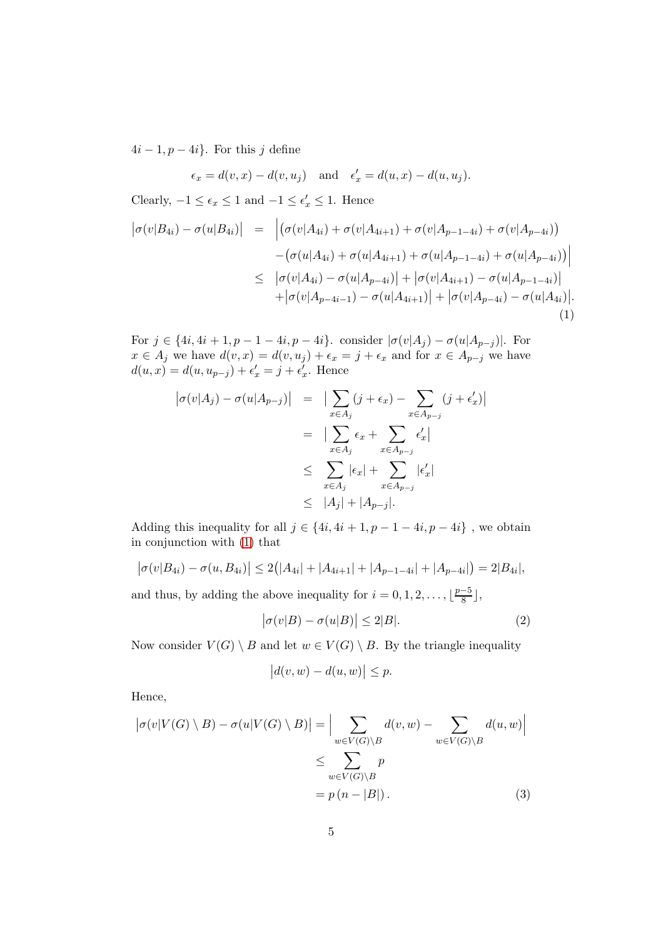$4i-1, p-4i$ . For this j define

$$
\epsilon_x = d(v, x) - d(v, u_j)
$$
 and  $\epsilon'_x = d(u, x) - d(u, u_j)$ .

<span id="page-4-0"></span>Clearly,  $-1 \le \epsilon_x \le 1$  and  $-1 \le \epsilon'_x \le 1$ . Hence  $|\sigma(v|B_{4i}) - \sigma(u|B_{4i})| =$  $(\sigma(v|A_{4i}) + \sigma(v|A_{4i+1}) + \sigma(v|A_{p-1-4i}) + \sigma(v|A_{p-4i}))$  $-\big(\sigma(u|A_{4i}) + \sigma(u|A_{4i+1}) + \sigma(u|A_{p-1-4i}) + \sigma(u|A_{p-4i})\big)\Big|$  $\leq \left| \sigma(v|A_{4i}) - \sigma(u|A_{p-4i}) \right| + \left| \sigma(v|A_{4i+1}) - \sigma(u|A_{p-1-4i}) \right|$  $+|\sigma(v|A_{p-4i-1})-\sigma(u|A_{4i+1})| + |\sigma(v|A_{p-4i})-\sigma(u|A_{4i})|.$ (1)

For  $j \in \{4i, 4i + 1, p - 1 - 4i, p - 4i\}$ . consider  $|\sigma(v|A_j) - \sigma(u|A_{p-j})|$ . For  $x \in A_j$  we have  $d(v, x) = d(v, u_j) + \epsilon_x = j + \epsilon_x$  and for  $x \in A_{p-j}$  we have  $d(u, x) = d(u, u_{p-j}) + \epsilon'_x = j + \epsilon'_x$ . Hence

$$
\begin{array}{rcl} \left| \sigma(v|A_j) - \sigma(u|A_{p-j}) \right| & = & \left| \sum_{x \in A_j} (j + \epsilon_x) - \sum_{x \in A_{p-j}} (j + \epsilon'_x) \right| \\ & = & \left| \sum_{x \in A_j} \epsilon_x + \sum_{x \in A_{p-j}} \epsilon'_x \right| \\ & \leq & \sum_{x \in A_j} |\epsilon_x| + \sum_{x \in A_{p-j}} |\epsilon'_x| \\ & \leq & |A_j| + |A_{p-j}|. \end{array}
$$

Adding this inequality for all  $j \in \{4i, 4i + 1, p - 1 - 4i, p - 4i\}$ , we obtain in conjunction with [\(1\)](#page-4-0) that

$$
|\sigma(v|B_{4i}) - \sigma(u, B_{4i})| \le 2(|A_{4i}| + |A_{4i+1}| + |A_{p-1-4i}| + |A_{p-4i}|) = 2|B_{4i}|,
$$

and thus, by adding the above inequality for  $i = 0, 1, 2, \ldots, \lceil \frac{p-5}{8} \rceil$  $\frac{-5}{8}$ ],

<span id="page-4-1"></span>
$$
|\sigma(v|B) - \sigma(u|B)| \le 2|B|.
$$
 (2)

Now consider  $V(G) \setminus B$  and let  $w \in V(G) \setminus B$ . By the triangle inequality

<span id="page-4-2"></span>
$$
\big|d(v,w)-d(u,w)\big|\leq p.
$$

Hence,

$$
\left| \sigma(v|V(G) \setminus B) - \sigma(u|V(G) \setminus B) \right| = \left| \sum_{w \in V(G) \setminus B} d(v, w) - \sum_{w \in V(G) \setminus B} d(u, w) \right|
$$
  

$$
\leq \sum_{w \in V(G) \setminus B} p
$$
  

$$
= p (n - |B|).
$$
 (3)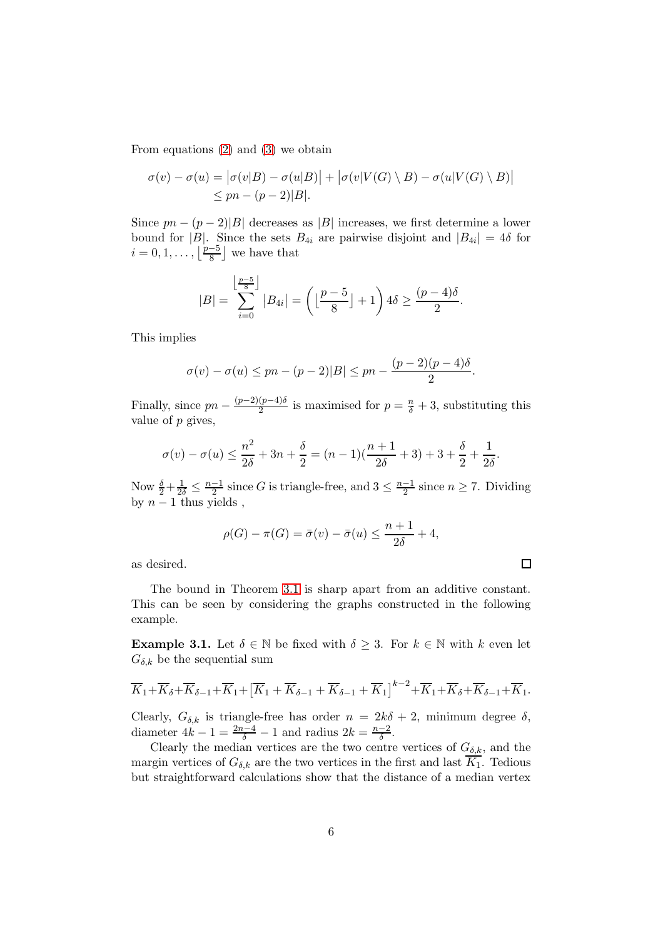From equations [\(2\)](#page-4-1) and [\(3\)](#page-4-2) we obtain

$$
\sigma(v) - \sigma(u) = |\sigma(v|B) - \sigma(u|B)| + |\sigma(v|V(G) \setminus B) - \sigma(u|V(G) \setminus B)|
$$
  
\n
$$
\leq pn - (p-2)|B|.
$$

Since  $pn - (p-2)|B|$  decreases as  $|B|$  increases, we first determine a lower bound for |B|. Since the sets  $B_{4i}$  are pairwise disjoint and  $|B_{4i}| = 4\delta$  for  $i = 0, 1, \ldots, \left| \frac{p-5}{8} \right|$  $\frac{-5}{8}$  we have that

$$
|B| = \sum_{i=0}^{\left\lfloor \frac{p-5}{8} \right\rfloor} |B_{4i}| = \left( \left\lfloor \frac{p-5}{8} \right\rfloor + 1 \right) 4\delta \ge \frac{(p-4)\delta}{2}.
$$

This implies

$$
\sigma(v) - \sigma(u) \le pn - (p-2)|B| \le pn - \frac{(p-2)(p-4)\delta}{2}.
$$

Finally, since  $pn - \frac{(p-2)(p-4)\delta}{2}$  $\frac{(p-4)\delta}{2}$  is maximised for  $p=\frac{n}{\delta}+3$ , substituting this value of p gives,

$$
\sigma(v) - \sigma(u) \le \frac{n^2}{2\delta} + 3n + \frac{\delta}{2} = (n-1)\left(\frac{n+1}{2\delta} + 3\right) + 3 + \frac{\delta}{2} + \frac{1}{2\delta}.
$$

Now  $\frac{\delta}{2} + \frac{1}{2\delta} \leq \frac{n-1}{2}$  $\frac{-1}{2}$  since G is triangle-free, and  $3 \leq \frac{n-1}{2}$  $\frac{-1}{2}$  since  $n \geq 7$ . Dividing by  $n-1$  thus yields,

$$
\rho(G) - \pi(G) = \bar{\sigma}(v) - \bar{\sigma}(u) \le \frac{n+1}{2\delta} + 4,
$$

as desired.

The bound in Theorem [3.1](#page-3-0) is sharp apart from an additive constant. This can be seen by considering the graphs constructed in the following example.

<span id="page-5-0"></span>**Example 3.1.** Let  $\delta \in \mathbb{N}$  be fixed with  $\delta \geq 3$ . For  $k \in \mathbb{N}$  with k even let  $G_{\delta,k}$  be the sequential sum

$$
\overline{K}_1 + \overline{K}_{\delta} + \overline{K}_{\delta-1} + \overline{K}_1 + \left[ \overline{K}_1 + \overline{K}_{\delta-1} + \overline{K}_{\delta-1} + \overline{K}_1 \right]^{k-2} + \overline{K}_1 + \overline{K}_{\delta} + \overline{K}_{\delta-1} + \overline{K}_1.
$$

Clearly,  $G_{\delta,k}$  is triangle-free has order  $n = 2k\delta + 2$ , minimum degree  $\delta$ , diameter  $4k - 1 = \frac{2n-4}{\delta} - 1$  and radius  $2k = \frac{n-2}{\delta}$  $\frac{-2}{\delta}$ .

Clearly the median vertices are the two centre vertices of  $G_{\delta,k}$ , and the margin vertices of  $G_{\delta,k}$  are the two vertices in the first and last  $\overline{K_1}$ . Tedious but straightforward calculations show that the distance of a median vertex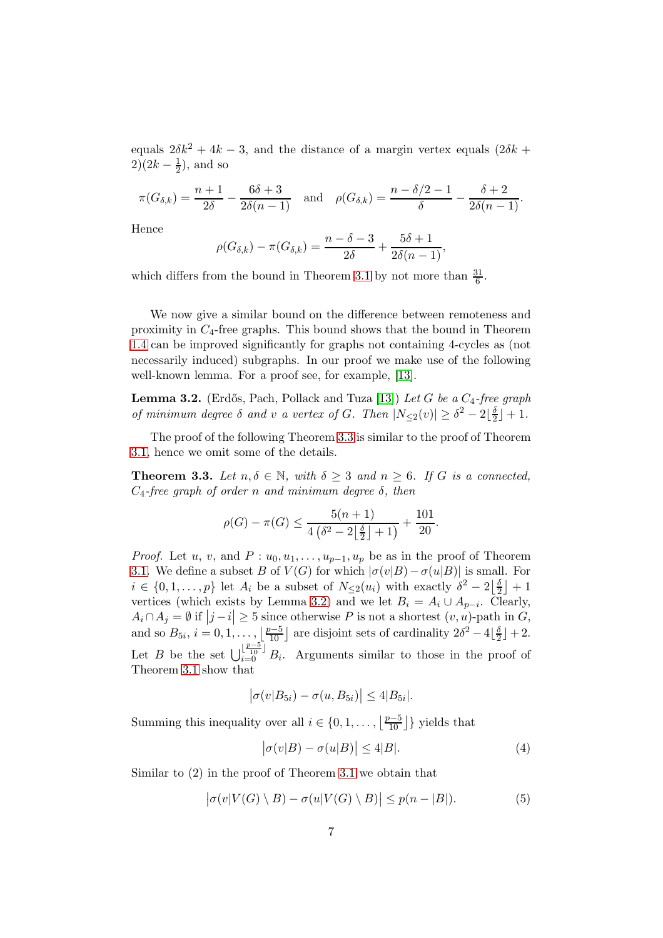equals  $2\delta k^2 + 4k - 3$ , and the distance of a margin vertex equals  $(2\delta k +$  $2)(2k-\frac{1}{2})$  $(\frac{1}{2})$ , and so

$$
\pi(G_{\delta,k}) = \frac{n+1}{2\delta} - \frac{6\delta + 3}{2\delta(n-1)} \quad \text{and} \quad \rho(G_{\delta,k}) = \frac{n - \delta/2 - 1}{\delta} - \frac{\delta + 2}{2\delta(n-1)}.
$$

Hence

$$
\rho(G_{\delta,k}) - \pi(G_{\delta,k}) = \frac{n-\delta-3}{2\delta} + \frac{5\delta+1}{2\delta(n-1)},
$$

which differs from the bound in Theorem [3.1](#page-3-0) by not more than  $\frac{31}{6}$ .

We now give a similar bound on the difference between remoteness and proximity in  $C_4$ -free graphs. This bound shows that the bound in Theorem [1.4](#page-2-0) can be improved significantly for graphs not containing 4-cycles as (not necessarily induced) subgraphs. In our proof we make use of the following well-known lemma. For a proof see, for example, [\[13\]](#page-19-12).

<span id="page-6-1"></span>**Lemma 3.2.** (Erdős, Pach, Pollack and Tuza [\[13\]](#page-19-12)) Let G be a  $C_4$ -free graph of minimum degree  $\delta$  and v a vertex of G. Then  $|N_{\leq 2}(v)| \geq \delta^2 - 2\lfloor \frac{\delta}{2} \rfloor$  $\frac{0}{2}$  | + 1.

The proof of the following Theorem [3.3](#page-6-0) is similar to the proof of Theorem [3.1,](#page-3-0) hence we omit some of the details.

<span id="page-6-0"></span>**Theorem 3.3.** Let  $n, \delta \in \mathbb{N}$ , with  $\delta \geq 3$  and  $n \geq 6$ . If G is a connected,  $C_4$ -free graph of order n and minimum degree  $\delta$ , then

$$
\rho(G) - \pi(G) \le \frac{5(n+1)}{4(\delta^2 - 2\left\lfloor \frac{\delta}{2} \right\rfloor + 1)} + \frac{101}{20}.
$$

*Proof.* Let u, v, and  $P: u_0, u_1, \ldots, u_{p-1}, u_p$  be as in the proof of Theorem [3.1.](#page-3-0) We define a subset B of  $V(G)$  for which  $|\sigma(v|B) - \sigma(u|B)|$  is small. For  $i \in \{0, 1, \ldots, p\}$  let  $A_i$  be a subset of  $N_{\leq 2}(u_i)$  with exactly  $\delta^2 - 2\left\lfloor \frac{\delta}{2} \right\rfloor$  $\frac{\delta}{2}$  + 1 vertices (which exists by Lemma [3.2\)](#page-6-1) and we let  $B_i = A_i \cup A_{p-i}$ . Clearly,  $A_i \cap A_j = \emptyset$  if  $|j - i| \geq 5$  since otherwise P is not a shortest  $(v, u)$ -path in  $G$ , and so  $B_{5i}$ ,  $i = 0, 1, \ldots, \lfloor \frac{p-5}{10} \rfloor$  are disjoint sets of cardinality  $2\delta^2 - 4\lfloor \frac{5}{2} \rfloor$  $\frac{0}{2}$  | + 2. Let B be the set  $\bigcup_{i=0}^{\lfloor \frac{p-5}{10} \rfloor} B_i$ . Arguments similar to those in the proof of Theorem [3.1](#page-3-0) show that

$$
\left|\sigma(v|B_{5i})-\sigma(u,B_{5i})\right|\leq 4|B_{5i}|.
$$

Summing this inequality over all  $i \in \{0, 1, \ldots, \left\lfloor \frac{p-5}{10} \right\rfloor\}$  yields that

<span id="page-6-3"></span><span id="page-6-2"></span>
$$
|\sigma(v|B) - \sigma(u|B)| \le 4|B|.
$$
 (4)

Similar to (2) in the proof of Theorem [3.1](#page-3-0) we obtain that

$$
\big|\sigma(v|V(G)\setminus B) - \sigma(u|V(G)\setminus B)\big| \le p(n-|B|). \tag{5}
$$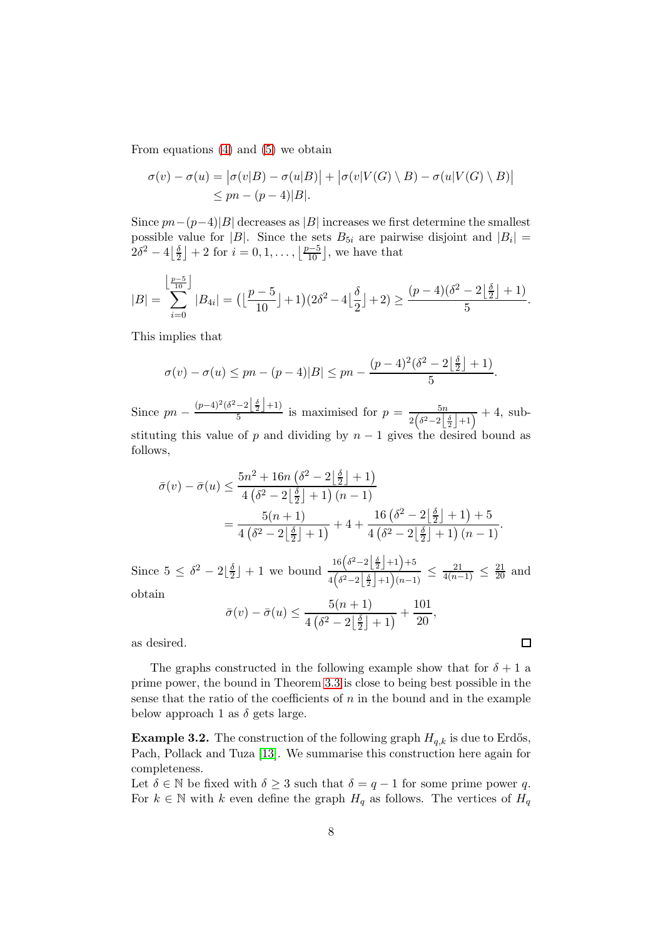From equations [\(4\)](#page-6-2) and [\(5\)](#page-6-3) we obtain

$$
\sigma(v) - \sigma(u) = |\sigma(v|B) - \sigma(u|B)| + |\sigma(v|V(G) \setminus B) - \sigma(u|V(G) \setminus B)|
$$
  
\n
$$
\leq pn - (p-4)|B|.
$$

Since  $pn-(p-4)|B|$  decreases as  $|B|$  increases we first determine the smallest possible value for |B|. Since the sets  $B_{5i}$  are pairwise disjoint and  $|B_i|$  =  $2\delta^2-4\left|\frac{\delta}{2}\right|$  $\frac{\delta}{2}$  | + 2 for  $i = 0, 1, \ldots, \left\lfloor \frac{p-5}{10} \right\rfloor$ , we have that

$$
|B| = \sum_{i=0}^{\left\lfloor \frac{p-5}{10} \right\rfloor} |B_{4i}| = \left( \left\lfloor \frac{p-5}{10} \right\rfloor + 1 \right) \left( 2\delta^2 - 4 \left\lfloor \frac{\delta}{2} \right\rfloor + 2 \right) \ge \frac{(p-4)(\delta^2 - 2\left\lfloor \frac{\delta}{2} \right\rfloor + 1)}{5}.
$$

This implies that

$$
\sigma(v) - \sigma(u) \le pn - (p-4)|B| \le pn - \frac{(p-4)^2(\delta^2 - 2\left\lfloor \frac{\delta}{2} \right\rfloor + 1)}{5}.
$$

Since  $pn - \frac{(p-4)^2(\delta^2 - 2\left\lfloor \frac{\delta}{2} \right\rfloor + 1)}{5}$  $\frac{-2\lfloor \frac{n}{2} \rfloor + 1}{5}$  is maximised for  $p = \frac{5n}{2(\delta^2 - 2\lfloor \frac{\delta}{2} \rfloor + 1)} + 4$ , substituting this value of p and dividing by  $n-1$  gives the desired bound as follows,

$$
\bar{\sigma}(v) - \bar{\sigma}(u) \le \frac{5n^2 + 16n (\delta^2 - 2\left\lfloor \frac{\delta}{2} \right\rfloor + 1)}{4 (\delta^2 - 2\left\lfloor \frac{\delta}{2} \right\rfloor + 1) (n - 1)} \\
= \frac{5(n + 1)}{4 (\delta^2 - 2\left\lfloor \frac{\delta}{2} \right\rfloor + 1)} + 4 + \frac{16 (\delta^2 - 2\left\lfloor \frac{\delta}{2} \right\rfloor + 1) + 5}{4 (\delta^2 - 2\left\lfloor \frac{\delta}{2} \right\rfloor + 1) (n - 1)}.
$$

Since  $5 \leq \delta^2 - 2\left\lfloor \frac{\delta}{2} \right\rfloor$  $\frac{0}{2}$  + 1 we bound  $16(\delta^2-2|\frac{\delta}{2}|+1)+5$  $\frac{10(\sigma^2 - 2\lfloor \frac{1}{2} \rfloor + 1)^{1/3}}{4(\delta^2 - 2\lfloor \frac{1}{2} \rfloor + 1)(n-1)} \leq \frac{21}{4(n-1)} \leq \frac{21}{20}$  and

obtain

$$
\bar{\sigma}(v) - \bar{\sigma}(u) \le \frac{5(n+1)}{4\left(\delta^2 - 2\left\lfloor \frac{\delta}{2} \right\rfloor + 1\right)} + \frac{101}{20},
$$

 $\Box$ 

as desired.

The graphs constructed in the following example show that for  $\delta + 1$  a prime power, the bound in Theorem [3.3](#page-6-0) is close to being best possible in the sense that the ratio of the coefficients of  $n$  in the bound and in the example below approach 1 as  $\delta$  gets large.

<span id="page-7-0"></span>**Example 3.2.** The construction of the following graph  $H_{q,k}$  is due to Erdős, Pach, Pollack and Tuza [\[13\]](#page-19-12). We summarise this construction here again for completeness.

Let  $\delta \in \mathbb{N}$  be fixed with  $\delta \geq 3$  such that  $\delta = q - 1$  for some prime power q. For  $k \in \mathbb{N}$  with k even define the graph  $H_q$  as follows. The vertices of  $H_q$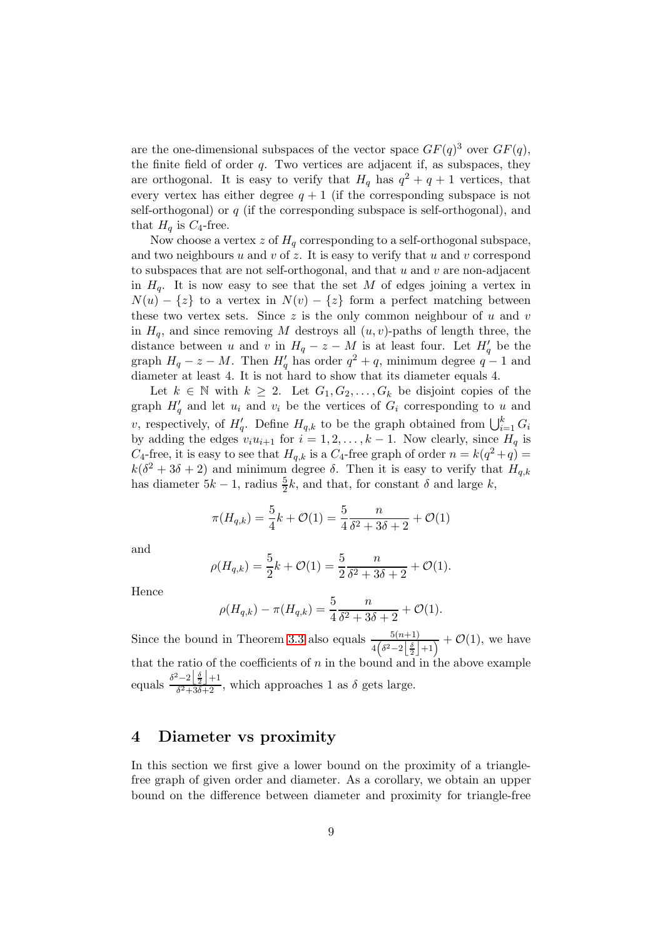are the one-dimensional subspaces of the vector space  $GF(q)^3$  over  $GF(q)$ , the finite field of order  $q$ . Two vertices are adjacent if, as subspaces, they are orthogonal. It is easy to verify that  $H_q$  has  $q^2 + q + 1$  vertices, that every vertex has either degree  $q + 1$  (if the corresponding subspace is not self-orthogonal) or  $q$  (if the corresponding subspace is self-orthogonal), and that  $H_q$  is  $C_4$ -free.

Now choose a vertex z of  $H<sub>q</sub>$  corresponding to a self-orthogonal subspace, and two neighbours  $u$  and  $v$  of  $z$ . It is easy to verify that  $u$  and  $v$  correspond to subspaces that are not self-orthogonal, and that  $u$  and  $v$  are non-adjacent in  $H_q$ . It is now easy to see that the set M of edges joining a vertex in  $N(u) - \{z\}$  to a vertex in  $N(v) - \{z\}$  form a perfect matching between these two vertex sets. Since  $z$  is the only common neighbour of  $u$  and  $v$ in  $H_q$ , and since removing M destroys all  $(u, v)$ -paths of length three, the distance between u and v in  $H_q - z - M$  is at least four. Let  $H'_q$  be the graph  $H_q - z - M$ . Then  $H'_q$  has order  $q^2 + q$ , minimum degree  $q - 1$  and diameter at least 4. It is not hard to show that its diameter equals 4.

Let  $k \in \mathbb{N}$  with  $k \geq 2$ . Let  $G_1, G_2, \ldots, G_k$  be disjoint copies of the graph  $H'_{q}$  and let  $u_i$  and  $v_i$  be the vertices of  $G_i$  corresponding to u and v, respectively, of  $H'_q$ . Define  $H_{q,k}$  to be the graph obtained from  $\bigcup_{i=1}^k G_i$ by adding the edges  $v_i u_{i+1}$  for  $i = 1, 2, ..., k-1$ . Now clearly, since  $H_q$  is  $C_4$ -free, it is easy to see that  $H_{q,k}$  is a  $C_4$ -free graph of order  $n = k(q^2 + q) =$  $k(\delta^2 + 3\delta + 2)$  and minimum degree  $\delta$ . Then it is easy to verify that  $H_{q,k}$ has diameter  $5k - 1$ , radius  $\frac{5}{2}k$ , and that, for constant  $\delta$  and large  $k$ ,

$$
\pi(H_{q,k}) = \frac{5}{4}k + \mathcal{O}(1) = \frac{5}{4}\frac{n}{\delta^2 + 3\delta + 2} + \mathcal{O}(1)
$$

and

$$
\rho(H_{q,k}) = \frac{5}{2}k + \mathcal{O}(1) = \frac{5}{2}\frac{n}{\delta^2 + 3\delta + 2} + \mathcal{O}(1).
$$

Hence

$$
\rho(H_{q,k}) - \pi(H_{q,k}) = \frac{5}{4} \frac{n}{\delta^2 + 3\delta + 2} + \mathcal{O}(1).
$$

Since the bound in Theorem [3.3](#page-6-0) also equals  $\frac{5(n+1)}{4(\delta^2-2\left|\frac{\delta}{2}\right|+1)} + \mathcal{O}(1)$ , we have that the ratio of the coefficients of  $n$  in the bound and in the above example equals  $\frac{\delta^2 - 2\left[\frac{\delta}{2}\right] + 1}{\delta^2 + 3\delta + 2}$  $\frac{2\lfloor 2 \rfloor + 1}{\delta^2 + 3\delta + 2}$ , which approaches 1 as  $\delta$  gets large.

# 4 Diameter vs proximity

In this section we first give a lower bound on the proximity of a trianglefree graph of given order and diameter. As a corollary, we obtain an upper bound on the difference between diameter and proximity for triangle-free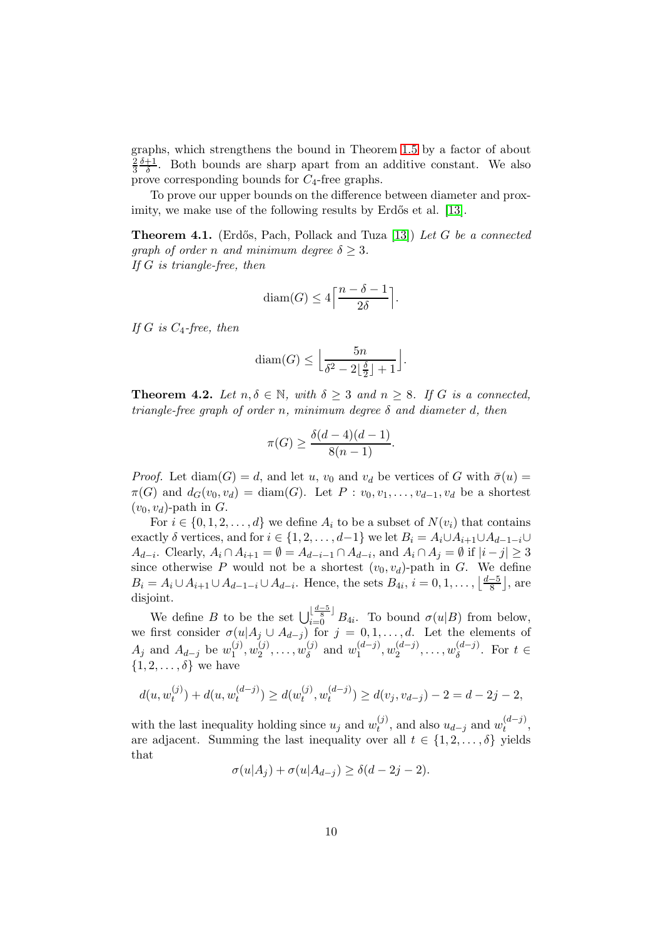graphs, which strengthens the bound in Theorem [1.5](#page-2-1) by a factor of about 2 3  $_{\delta+1}$  $\frac{+1}{\delta}$ . Both bounds are sharp apart from an additive constant. We also prove corresponding bounds for  $C_4$ -free graphs.

To prove our upper bounds on the difference between diameter and prox-imity, we make use of the following results by Erdős et al. [\[13\]](#page-19-12).

<span id="page-9-1"></span>**Theorem 4.1.** (Erdős, Pach, Pollack and Tuza [\[13\]](#page-19-12)) Let G be a connected graph of order n and minimum degree  $\delta \geq 3$ . If G is triangle-free, then

$$
diam(G) \le 4\left\lceil \frac{n-\delta-1}{2\delta} \right\rceil.
$$

If G is  $C_4$ -free, then

$$
diam(G) \le \left\lfloor \frac{5n}{\delta^2 - 2\left\lfloor \frac{\delta}{2} \right\rfloor + 1} \right\rfloor.
$$

<span id="page-9-0"></span>**Theorem 4.2.** Let  $n, \delta \in \mathbb{N}$ , with  $\delta \geq 3$  and  $n \geq 8$ . If G is a connected, triangle-free graph of order n, minimum degree  $\delta$  and diameter d, then

$$
\pi(G) \ge \frac{\delta(d-4)(d-1)}{8(n-1)}.
$$

*Proof.* Let diam(G) = d, and let u,  $v_0$  and  $v_d$  be vertices of G with  $\bar{\sigma}(u)$  =  $\pi(G)$  and  $d_G(v_0, v_d) = \text{diam}(G)$ . Let  $P : v_0, v_1, \ldots, v_{d-1}, v_d$  be a shortest  $(v_0, v_d)$ -path in G.

For  $i \in \{0, 1, 2, \ldots, d\}$  we define  $A_i$  to be a subset of  $N(v_i)$  that contains exactly  $\delta$  vertices, and for  $i \in \{1, 2, \ldots, d-1\}$  we let  $B_i = A_i \cup A_{i+1} \cup A_{d-1-i} \cup$  $A_{d-i}$ . Clearly,  $A_i \cap A_{i+1} = \emptyset = A_{d-i-1} \cap A_{d-i}$ , and  $A_i \cap A_j = \emptyset$  if  $|i-j| \geq 3$ since otherwise P would not be a shortest  $(v_0, v_d)$ -path in G. We define  $B_i = A_i \cup A_{i+1} \cup A_{d-1-i} \cup A_{d-i}$ . Hence, the sets  $B_{4i}, i = 0, 1, ..., \lfloor \frac{d-5}{8} \rfloor$  $\frac{-5}{8}$ , are disjoint.

We define B to be the set  $\bigcup_{i=0}^{\lfloor \frac{d-5}{8} \rfloor} B_{4i}$ . To bound  $\sigma(u|B)$  from below, we first consider  $\sigma(u|A_j \cup A_{d-j})$  for  $j = 0, 1, ..., d$ . Let the elements of  $A_j$  and  $A_{d-j}$  be  $w_1^{(j)}$  $\binom{(j)}{1}, w_2^{(j)}$  $\binom{j}{2},\ldots,\binom{j}{\delta}$  $\binom{j}{\delta}$  and  $w_1^{(d-j)}$  $\binom{(d-j)}{1}, w_2^{(d-j)}$  $\binom{(d-j)}{2},\ldots,\binom{(d-j)}{3}$  $\delta^{(a-j)}$ . For  $t \in$  $\{1, 2, \ldots, \delta\}$  we have

$$
d(u, w_t^{(j)}) + d(u, w_t^{(d-j)}) \ge d(w_t^{(j)}, w_t^{(d-j)}) \ge d(v_j, v_{d-j}) - 2 = d - 2j - 2,
$$

with the last inequality holding since  $u_j$  and  $w_t^{(j)}$  $t_t^{(j)}$ , and also  $u_{d-j}$  and  $w_t^{(d-j)}$  $\binom{(u-j)}{t}$ are adjacent. Summing the last inequality over all  $t \in \{1, 2, \ldots, \delta\}$  yields that

$$
\sigma(u|A_j) + \sigma(u|A_{d-j}) \ge \delta(d-2j-2).
$$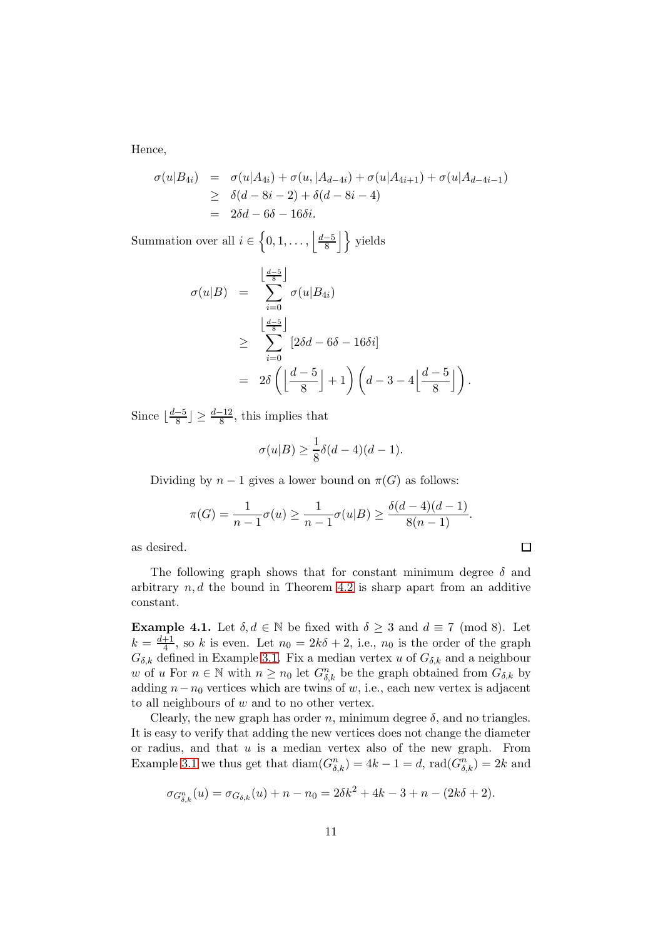Hence,

$$
\sigma(u|B_{4i}) = \sigma(u|A_{4i}) + \sigma(u, |A_{d-4i}) + \sigma(u|A_{4i+1}) + \sigma(u|A_{d-4i-1})
$$
  
\n
$$
\geq \delta(d-8i-2) + \delta(d-8i-4)
$$
  
\n
$$
= 2\delta d - 6\delta - 16\delta i.
$$

Summation over all  $i \in \left\{0, 1, \ldots, \left|\frac{d-5}{8}\right|\right\}$  $\frac{-5}{8}$  yields

$$
\sigma(u|B) = \sum_{i=0}^{\left\lfloor \frac{d-5}{8} \right\rfloor} \sigma(u|B_{4i})
$$
  
\n
$$
\geq \sum_{i=0}^{\left\lfloor \frac{d-5}{8} \right\rfloor} [2\delta d - 6\delta - 16\delta i]
$$
  
\n
$$
= 2\delta \left( \left\lfloor \frac{d-5}{8} \right\rfloor + 1 \right) \left( d - 3 - 4 \left\lfloor \frac{d-5}{8} \right\rfloor \right).
$$

Since  $\frac{d-5}{8}$  $\frac{-5}{8}$   $\geq \frac{d-12}{8}$ , this implies that

$$
\sigma(u|B) \ge \frac{1}{8}\delta(d-4)(d-1).
$$

Dividing by  $n-1$  gives a lower bound on  $\pi(G)$  as follows:

$$
\pi(G) = \frac{1}{n-1}\sigma(u) \ge \frac{1}{n-1}\sigma(u|B) \ge \frac{\delta(d-4)(d-1)}{8(n-1)}.
$$

 $\Box$ 

as desired.

The following graph shows that for constant minimum degree 
$$
\delta
$$
 and arbitrary  $n, d$  the bound in Theorem 4.2 is sharp apart from an additive constant.

<span id="page-10-0"></span>**Example 4.1.** Let  $\delta, d \in \mathbb{N}$  be fixed with  $\delta \geq 3$  and  $d \equiv 7 \pmod{8}$ . Let  $k = \frac{d+1}{4}$  $\frac{+1}{4}$ , so k is even. Let  $n_0 = 2k\delta + 2$ , i.e.,  $n_0$  is the order of the graph  $G_{\delta,k}$  defined in Example [3.1.](#page-5-0) Fix a median vertex u of  $G_{\delta,k}$  and a neighbour w of u For  $n \in \mathbb{N}$  with  $n \geq n_0$  let  $G_{\delta,k}^n$  be the graph obtained from  $G_{\delta,k}$  by adding  $n - n_0$  vertices which are twins of w, i.e., each new vertex is adjacent to all neighbours of w and to no other vertex.

Clearly, the new graph has order n, minimum degree  $\delta$ , and no triangles. It is easy to verify that adding the new vertices does not change the diameter or radius, and that  $u$  is a median vertex also of the new graph. From Example [3.1](#page-5-0) we thus get that  $\text{diam}(G_{\delta,k}^n) = 4k - 1 = d$ ,  $\text{rad}(G_{\delta,k}^n) = 2k$  and

$$
\sigma_{G_{\delta,k}^n}(u) = \sigma_{G_{\delta,k}}(u) + n - n_0 = 2\delta k^2 + 4k - 3 + n - (2k\delta + 2).
$$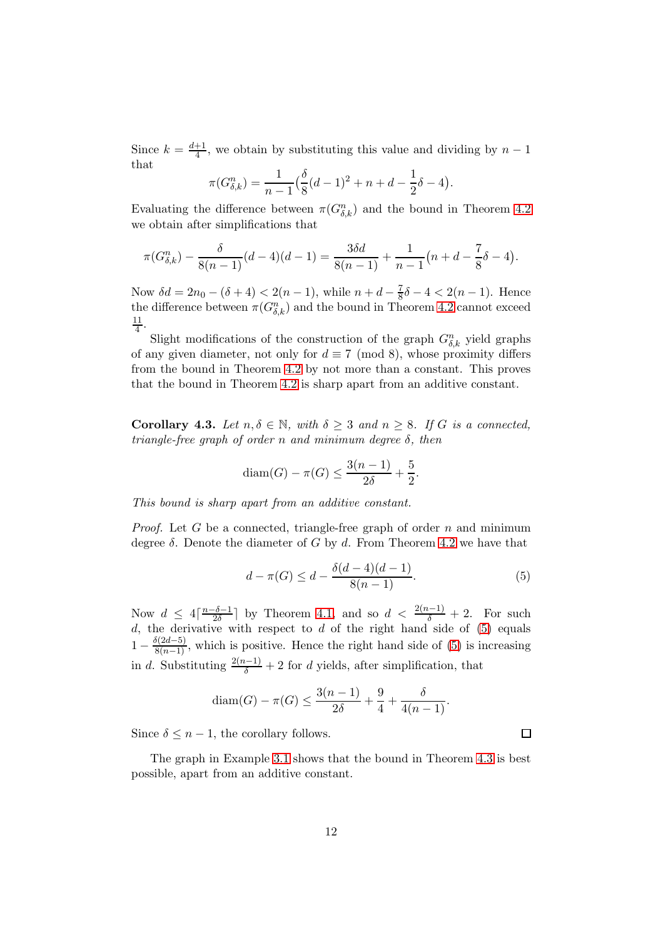Since  $k = \frac{d+1}{4}$  $\frac{+1}{4}$ , we obtain by substituting this value and dividing by  $n-1$ that

$$
\pi(G_{\delta,k}^n) = \frac{1}{n-1} \left( \frac{\delta}{8} (d-1)^2 + n + d - \frac{1}{2} \delta - 4 \right).
$$

Evaluating the difference between  $\pi(G_{\delta,k}^n)$  and the bound in Theorem [4.2](#page-9-0) we obtain after simplifications that

$$
\pi(G_{\delta,k}^n) - \frac{\delta}{8(n-1)}(d-4)(d-1) = \frac{3\delta d}{8(n-1)} + \frac{1}{n-1}(n+d-\frac{7}{8}\delta-4).
$$

Now  $\delta d = 2n_0 - (\delta + 4) < 2(n - 1)$ , while  $n + d - \frac{7}{8}\delta - 4 < 2(n - 1)$ . Hence the difference between  $\pi(G_{\delta,k}^n)$  and the bound in Theorem [4.2](#page-9-0) cannot exceed 11  $\frac{11}{4}$ .

Slight modifications of the construction of the graph  $G_{\delta,k}^n$  yield graphs of any given diameter, not only for  $d \equiv 7 \pmod{8}$ , whose proximity differs from the bound in Theorem [4.2](#page-9-0) by not more than a constant. This proves that the bound in Theorem [4.2](#page-9-0) is sharp apart from an additive constant.

<span id="page-11-1"></span>**Corollary 4.3.** Let  $n, \delta \in \mathbb{N}$ , with  $\delta \geq 3$  and  $n \geq 8$ . If G is a connected, triangle-free graph of order n and minimum degree  $\delta$ , then

$$
diam(G) - \pi(G) \le \frac{3(n-1)}{2\delta} + \frac{5}{2}.
$$

This bound is sharp apart from an additive constant.

*Proof.* Let G be a connected, triangle-free graph of order n and minimum degree  $\delta$ . Denote the diameter of G by d. From Theorem [4.2](#page-9-0) we have that

<span id="page-11-0"></span>
$$
d - \pi(G) \le d - \frac{\delta(d - 4)(d - 1)}{8(n - 1)}.
$$
\n(5)

Now  $d \leq 4 \lceil \frac{n-\delta-1}{2\delta} \rceil$  $\frac{-\delta-1}{2\delta}$  by Theorem [4.1,](#page-9-1) and so  $d < \frac{2(n-1)}{\delta} + 2$ . For such d, the derivative with respect to d of the right hand side of  $(5)$  equals  $1 - \frac{\delta(2d-5)}{8(n-1)}$ , which is positive. Hence the right hand side of [\(5\)](#page-11-0) is increasing in d. Substituting  $\frac{2(n-1)}{\delta} + 2$  for d yields, after simplification, that

$$
diam(G) - \pi(G) \le \frac{3(n-1)}{2\delta} + \frac{9}{4} + \frac{\delta}{4(n-1)}.
$$

Since  $\delta \leq n-1$ , the corollary follows.

The graph in Example [3.1](#page-5-0) shows that the bound in Theorem [4.3](#page-11-1) is best possible, apart from an additive constant.

 $\Box$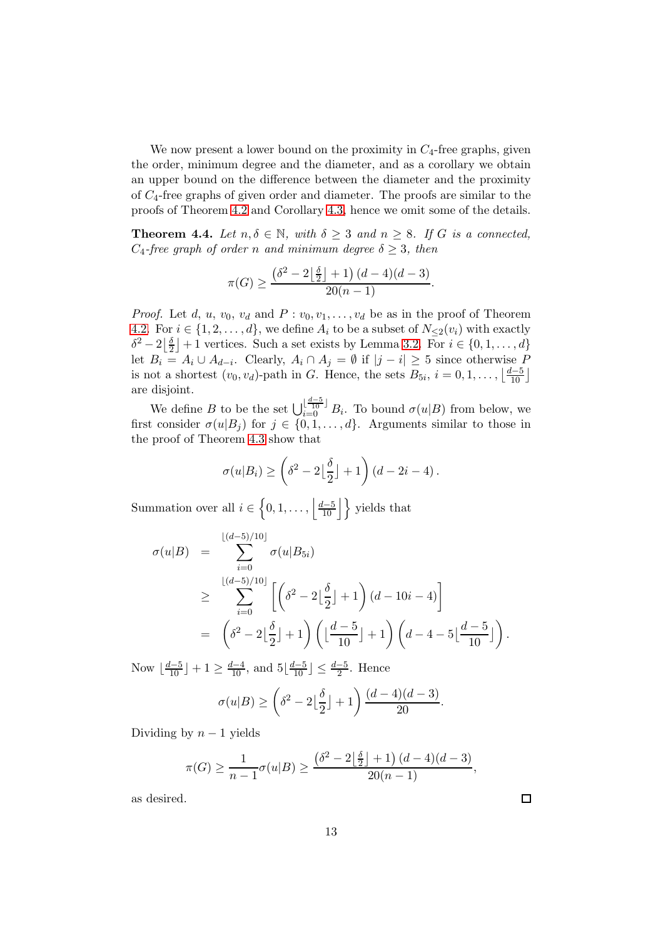We now present a lower bound on the proximity in  $C_4$ -free graphs, given the order, minimum degree and the diameter, and as a corollary we obtain an upper bound on the difference between the diameter and the proximity of  $C_4$ -free graphs of given order and diameter. The proofs are similar to the proofs of Theorem [4.2](#page-9-0) and Corollary [4.3,](#page-11-1) hence we omit some of the details.

<span id="page-12-0"></span>**Theorem 4.4.** Let  $n, \delta \in \mathbb{N}$ , with  $\delta \geq 3$  and  $n \geq 8$ . If G is a connected,  $C_4$ -free graph of order n and minimum degree  $\delta \geq 3$ , then

$$
\pi(G) \ge \frac{\left(\delta^2 - 2\left\lfloor \frac{\delta}{2} \right\rfloor + 1\right) (d - 4)(d - 3)}{20(n - 1)}.
$$

*Proof.* Let d, u,  $v_0$ ,  $v_d$  and  $P: v_0, v_1, \ldots, v_d$  be as in the proof of Theorem [4.2.](#page-9-0) For  $i \in \{1, 2, \ldots, d\}$ , we define  $A_i$  to be a subset of  $N_{\leq 2}(v_i)$  with exactly  $\delta^2-2\left|\frac{\delta}{2}\right|$  $\frac{\delta}{2}$  + 1 vertices. Such a set exists by Lemma [3.2.](#page-6-1) For  $i \in \{0, 1, ..., d\}$ let  $B_i = A_i \cup A_{d-i}$ . Clearly,  $A_i \cap A_j = \emptyset$  if  $|j - i| \geq 5$  since otherwise P is not a shortest  $(v_0, v_d)$ -path in G. Hence, the sets  $B_{5i}$ ,  $i = 0, 1, \ldots, \left\lfloor \frac{d-5}{10} \right\rfloor$ are disjoint.

We define B to be the set  $\bigcup_{i=0}^{\lfloor \frac{d-5}{10} \rfloor} B_i$ . To bound  $\sigma(u|B)$  from below, we first consider  $\sigma(u|B_j)$  for  $j \in \{0,1,\ldots,d\}$ . Arguments similar to those in the proof of Theorem [4.3](#page-11-1) show that

$$
\sigma(u|B_i) \ge \left(\delta^2 - 2\left\lfloor \frac{\delta}{2} \right\rfloor + 1\right) \left(d - 2i - 4\right).
$$

Summation over all  $i \in \left\{0, 1, \ldots, \left|\frac{d-5}{10}\right|\right\}$  yields that

$$
\sigma(u|B) = \sum_{i=0}^{\lfloor (d-5)/10 \rfloor} \sigma(u|B_{5i})
$$
  
\n
$$
\geq \sum_{i=0}^{\lfloor (d-5)/10 \rfloor} \left[ \left( \delta^2 - 2\left\lfloor \frac{\delta}{2} \right\rfloor + 1 \right) (d - 10i - 4) \right]
$$
  
\n
$$
= \left( \delta^2 - 2\left\lfloor \frac{\delta}{2} \right\rfloor + 1 \right) \left( \left\lfloor \frac{d-5}{10} \right\rfloor + 1 \right) \left( d - 4 - 5\left\lfloor \frac{d-5}{10} \right\rfloor \right).
$$

Now  $\lfloor \frac{d-5}{10} \rfloor + 1 \ge \frac{d-4}{10}$ , and  $5\lfloor \frac{d-5}{10} \rfloor \le \frac{d-5}{2}$ . Hence

$$
\sigma(u|B) \ge \left(\delta^2 - 2\left\lfloor \frac{\delta}{2} \right\rfloor + 1\right) \frac{(d-4)(d-3)}{20}.
$$

Dividing by  $n-1$  yields

$$
\pi(G) \ge \frac{1}{n-1}\sigma(u|B) \ge \frac{(\delta^2 - 2\left\lfloor \frac{\delta}{2} \right\rfloor + 1)(d-4)(d-3)}{20(n-1)},
$$

as desired.

 $\Box$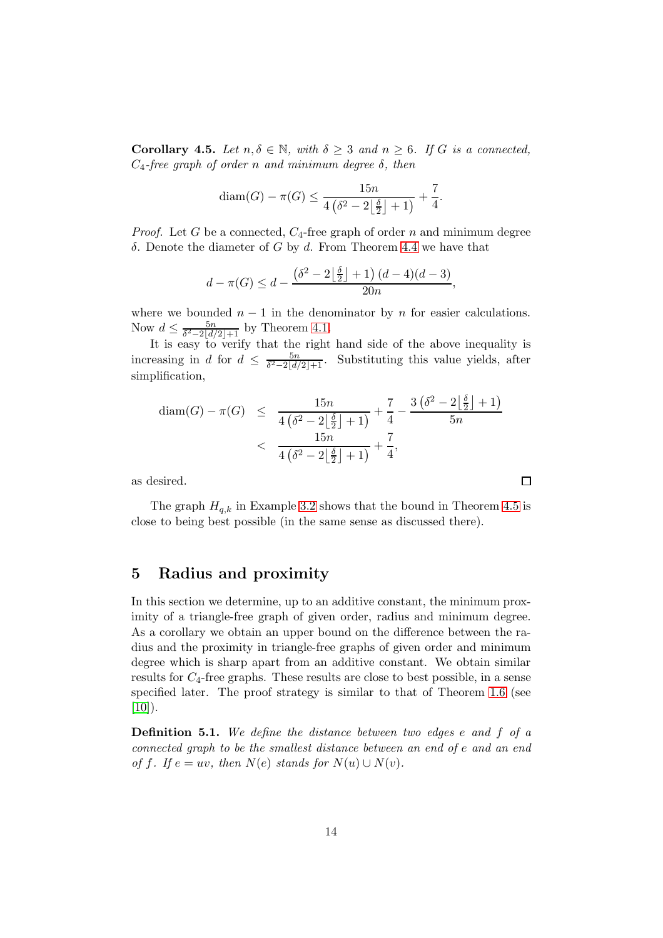<span id="page-13-0"></span>**Corollary 4.5.** Let  $n, \delta \in \mathbb{N}$ , with  $\delta \geq 3$  and  $n \geq 6$ . If G is a connected,  $C_4$ -free graph of order n and minimum degree  $\delta$ , then

$$
diam(G) - \pi(G) \le \frac{15n}{4(\delta^2 - 2\lfloor \frac{\delta}{2} \rfloor + 1)} + \frac{7}{4}.
$$

*Proof.* Let G be a connected,  $C_4$ -free graph of order n and minimum degree δ. Denote the diameter of  $G$  by  $d$ . From Theorem [4.4](#page-12-0) we have that

$$
d - \pi(G) \le d - \frac{\left(\delta^2 - 2\left\lfloor \frac{\delta}{2} \right\rfloor + 1\right) (d - 4)(d - 3)}{20n},
$$

where we bounded  $n-1$  in the denominator by n for easier calculations. Now  $d \leq \frac{5n}{\delta^2-2|d|}$  $\frac{5n}{\delta^2-2|d/2|+1}$  by Theorem [4.1.](#page-9-1)

It is easy to verify that the right hand side of the above inequality is increasing in d for  $d \leq \frac{5n}{\delta^2-2|d|}$  $\frac{5n}{\delta^2-2\lfloor d/2\rfloor+1}$ . Substituting this value yields, after simplification,

$$
\begin{array}{rcl} \text{diam}(G) - \pi(G) & \leq & \frac{15n}{4\left(\delta^2 - 2\left\lfloor \frac{\delta}{2} \right\rfloor + 1\right)} + \frac{7}{4} - \frac{3\left(\delta^2 - 2\left\lfloor \frac{\delta}{2} \right\rfloor + 1\right)}{5n} \\ & < & \frac{15n}{4\left(\delta^2 - 2\left\lfloor \frac{\delta}{2} \right\rfloor + 1\right)} + \frac{7}{4}, \end{array}
$$

as desired.

The graph  $H_{q,k}$  in Example [3.2](#page-7-0) shows that the bound in Theorem [4.5](#page-13-0) is close to being best possible (in the same sense as discussed there).

 $\Box$ 

## 5 Radius and proximity

In this section we determine, up to an additive constant, the minimum proximity of a triangle-free graph of given order, radius and minimum degree. As a corollary we obtain an upper bound on the difference between the radius and the proximity in triangle-free graphs of given order and minimum degree which is sharp apart from an additive constant. We obtain similar results for  $C_4$ -free graphs. These results are close to best possible, in a sense specified later. The proof strategy is similar to that of Theorem [1.6](#page-2-2) (see  $[10]$ .

Definition 5.1. We define the distance between two edges e and f of a connected graph to be the smallest distance between an end of e and an end of f. If  $e = uv$ , then  $N(e)$  stands for  $N(u) \cup N(v)$ .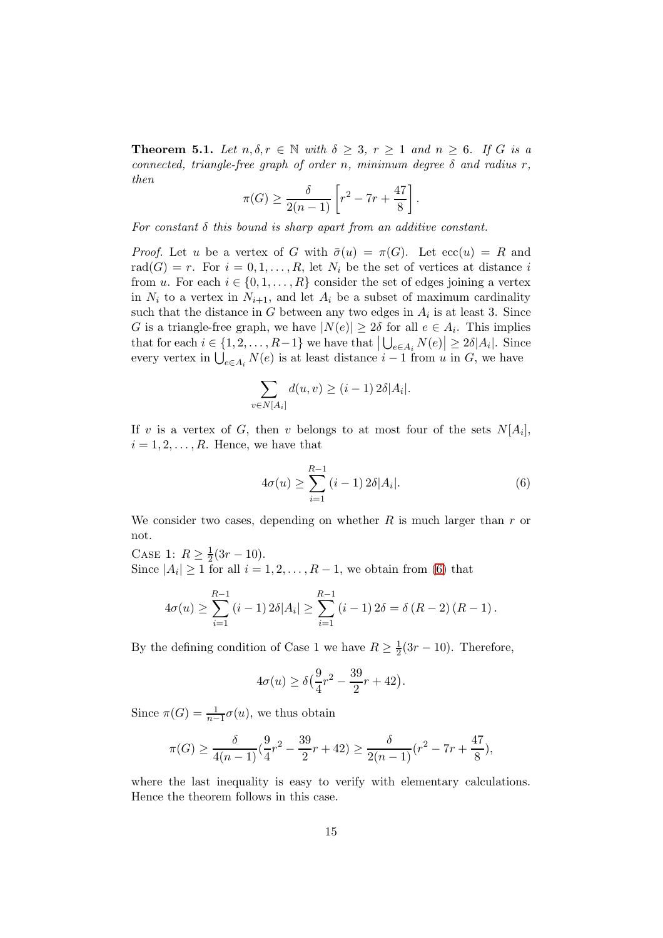<span id="page-14-1"></span>**Theorem 5.1.** Let  $n, \delta, r \in \mathbb{N}$  with  $\delta \geq 3$ ,  $r \geq 1$  and  $n \geq 6$ . If G is a connected, triangle-free graph of order n, minimum degree  $\delta$  and radius r, then

$$
\pi(G) \ge \frac{\delta}{2(n-1)} \left[ r^2 - 7r + \frac{47}{8} \right].
$$

For constant  $\delta$  this bound is sharp apart from an additive constant.

*Proof.* Let u be a vertex of G with  $\bar{\sigma}(u) = \pi(G)$ . Let  $ecc(u) = R$  and rad $(G) = r$ . For  $i = 0, 1, ..., R$ , let  $N_i$  be the set of vertices at distance i from u. For each  $i \in \{0, 1, ..., R\}$  consider the set of edges joining a vertex in  $N_i$  to a vertex in  $N_{i+1}$ , and let  $A_i$  be a subset of maximum cardinality such that the distance in G between any two edges in  $A_i$  is at least 3. Since G is a triangle-free graph, we have  $|N(e)| \ge 2\delta$  for all  $e \in A_i$ . This implies that for each  $i \in \{1, 2, ..., R-1\}$  we have that  $\left|\bigcup_{e \in A_i} N(e)\right| \geq 2\delta |A_i|$ . Since every vertex in  $\bigcup_{e \in A_i} N(e)$  is at least distance  $i - 1$  from u in G, we have

$$
\sum_{v \in N[A_i]} d(u, v) \ge (i - 1) 2\delta |A_i|.
$$

If v is a vertex of G, then v belongs to at most four of the sets  $N[A_i],$  $i = 1, 2, \ldots, R$ . Hence, we have that

<span id="page-14-0"></span>
$$
4\sigma(u) \ge \sum_{i=1}^{R-1} (i-1) 2\delta |A_i|.
$$
 (6)

We consider two cases, depending on whether  $R$  is much larger than  $r$  or not.

CASE 1:  $R \geq \frac{1}{2}$  $rac{1}{2}(3r-10).$ Since  $|A_i| \geq 1$  for all  $i = 1, 2, ..., R - 1$ , we obtain from [\(6\)](#page-14-0) that

$$
4\sigma(u) \geq \sum_{i=1}^{R-1} (i-1) 2\delta |A_i| \geq \sum_{i=1}^{R-1} (i-1) 2\delta = \delta (R-2) (R-1).
$$

By the defining condition of Case 1 we have  $R \geq \frac{1}{2}$  $\frac{1}{2}(3r-10)$ . Therefore,

$$
4\sigma(u) \ge \delta\left(\frac{9}{4}r^2 - \frac{39}{2}r + 42\right).
$$

Since  $\pi(G) = \frac{1}{n-1}\sigma(u)$ , we thus obtain

$$
\pi(G) \ge \frac{\delta}{4(n-1)} \left(\frac{9}{4}r^2 - \frac{39}{2}r + 42\right) \ge \frac{\delta}{2(n-1)} \left(r^2 - 7r + \frac{47}{8}\right),
$$

where the last inequality is easy to verify with elementary calculations. Hence the theorem follows in this case.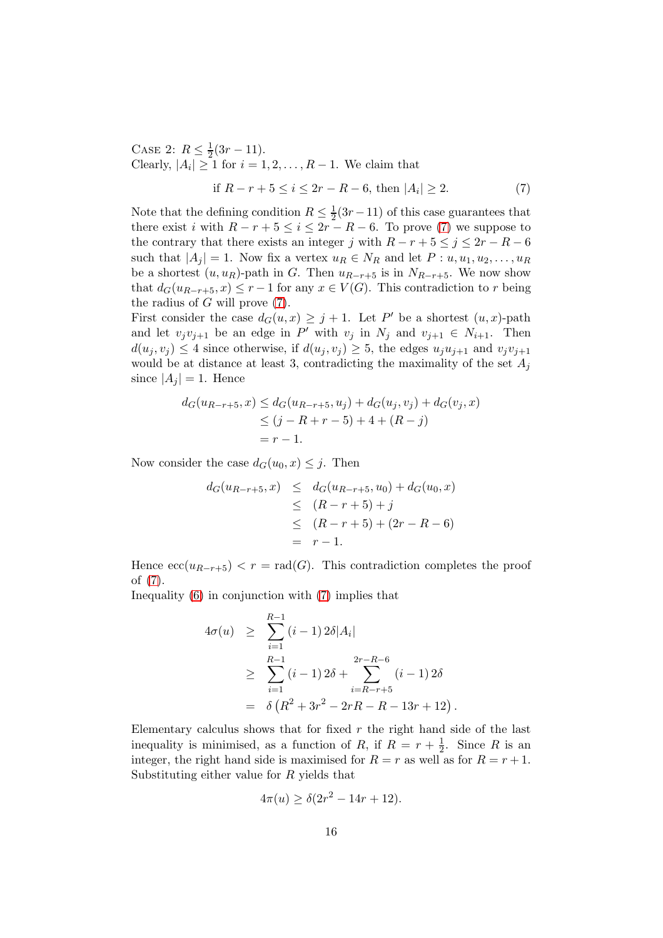CASE 2:  $R \leq \frac{1}{2}$  $rac{1}{2}(3r-11).$ Clearly,  $|A_i| \ge 1$  for  $i = 1, 2, ..., R - 1$ . We claim that

<span id="page-15-0"></span>if 
$$
R - r + 5 \le i \le 2r - R - 6
$$
, then  $|A_i| \ge 2$ . (7)

Note that the defining condition  $R \leq \frac{1}{2}$  $\frac{1}{2}(3r-11)$  of this case guarantees that there exist i with  $R - r + 5 \le i \le 2r - R - 6$ . To prove [\(7\)](#page-15-0) we suppose to the contrary that there exists an integer j with  $R - r + 5 \le j \le 2r - R - 6$ such that  $|A_i| = 1$ . Now fix a vertex  $u_R \in N_R$  and let  $P: u, u_1, u_2, \ldots, u_R$ be a shortest  $(u, u_R)$ -path in G. Then  $u_{R-r+5}$  is in  $N_{R-r+5}$ . We now show that  $d_G(u_{R-r+5}, x) \leq r-1$  for any  $x \in V(G)$ . This contradiction to r being the radius of  $G$  will prove  $(7)$ .

First consider the case  $d_G(u, x) \geq j + 1$ . Let P' be a shortest  $(u, x)$ -path and let  $v_j v_{j+1}$  be an edge in P' with  $v_j$  in  $N_j$  and  $v_{j+1} \in N_{i+1}$ . Then  $d(u_i, v_i) \leq 4$  since otherwise, if  $d(u_i, v_i) \geq 5$ , the edges  $u_j u_{j+1}$  and  $v_j v_{j+1}$ would be at distance at least 3, contradicting the maximality of the set  $A_i$ since  $|A_i| = 1$ . Hence

$$
d_G(u_{R-r+5}, x) \le d_G(u_{R-r+5}, u_j) + d_G(u_j, v_j) + d_G(v_j, x)
$$
  
\n
$$
\le (j - R + r - 5) + 4 + (R - j)
$$
  
\n
$$
= r - 1.
$$

Now consider the case  $d_G(u_0, x) \leq j$ . Then

$$
d_G(u_{R-r+5}, x) \leq d_G(u_{R-r+5}, u_0) + d_G(u_0, x)
$$
  
\n
$$
\leq (R-r+5) + j
$$
  
\n
$$
\leq (R-r+5) + (2r - R - 6)
$$
  
\n
$$
= r - 1.
$$

Hence  $\mathrm{ecc}(u_{R-r+5}) < r = \mathrm{rad}(G)$ . This contradiction completes the proof of [\(7\)](#page-15-0).

Inequality [\(6\)](#page-14-0) in conjunction with [\(7\)](#page-15-0) implies that

$$
4\sigma(u) \geq \sum_{i=1}^{R-1} (i-1) 2\delta |A_i|
$$
  
\n
$$
\geq \sum_{i=1}^{R-1} (i-1) 2\delta + \sum_{i=R-r+5}^{2r-R-6} (i-1) 2\delta
$$
  
\n
$$
= \delta (R^2 + 3r^2 - 2rR - R - 13r + 12).
$$

Elementary calculus shows that for fixed  $r$  the right hand side of the last inequality is minimised, as a function of R, if  $R = r + \frac{1}{2}$ . Since R is an integer, the right hand side is maximised for  $R = r$  as well as for  $R = r + 1$ . Substituting either value for R yields that

$$
4\pi(u) \ge \delta(2r^2 - 14r + 12).
$$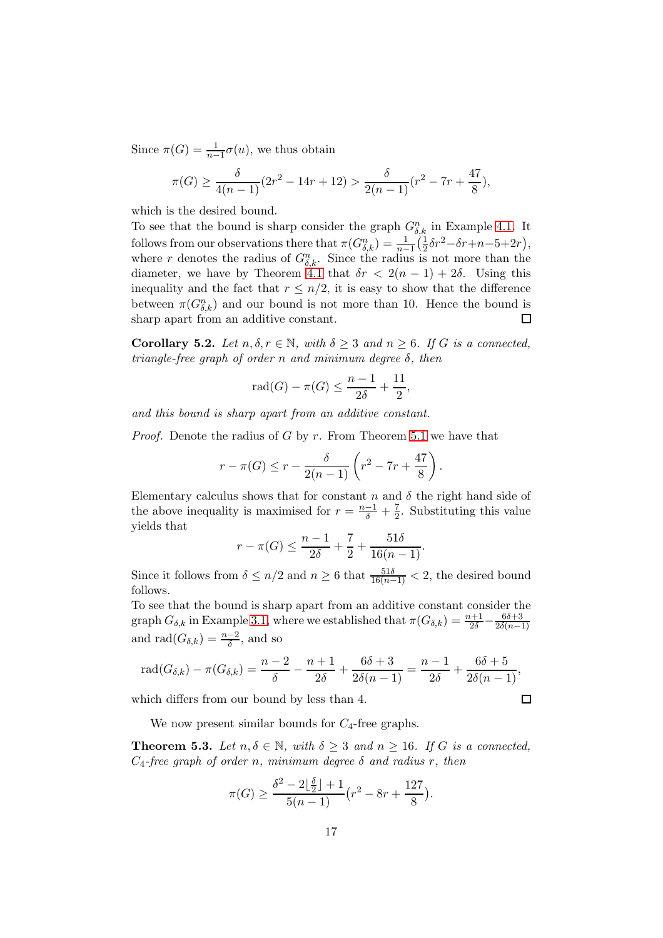Since  $\pi(G) = \frac{1}{n-1}\sigma(u)$ , we thus obtain

$$
\pi(G) \ge \frac{\delta}{4(n-1)}(2r^2 - 14r + 12) > \frac{\delta}{2(n-1)}(r^2 - 7r + \frac{47}{8}),
$$

which is the desired bound.

To see that the bound is sharp consider the graph  $G_{\delta,k}^n$  in Example [4.1.](#page-10-0) It follows from our observations there that  $\pi(G_{\delta,k}^n) = \frac{1}{n-1} \left(\frac{1}{2}\right)$  $\frac{1}{2}\delta r^2 - \delta r + n - 5 + 2r,$ where r denotes the radius of  $G_{\delta,k}^n$ . Since the radius is not more than the diameter, we have by Theorem [4.1](#page-9-1) that  $\delta r < 2(n-1) + 2\delta$ . Using this inequality and the fact that  $r \leq n/2$ , it is easy to show that the difference between  $\pi(G_{\delta,k}^n)$  and our bound is not more than 10. Hence the bound is sharp apart from an additive constant.  $\Box$ 

<span id="page-16-0"></span>**Corollary 5.2.** Let  $n, \delta, r \in \mathbb{N}$ , with  $\delta \geq 3$  and  $n \geq 6$ . If G is a connected, triangle-free graph of order n and minimum degree  $\delta$ , then

$$
rad(G) - \pi(G) \le \frac{n-1}{2\delta} + \frac{11}{2},
$$

and this bound is sharp apart from an additive constant.

*Proof.* Denote the radius of G by r. From Theorem [5.1](#page-14-1) we have that

$$
r - \pi(G) \le r - \frac{\delta}{2(n-1)} \left( r^2 - 7r + \frac{47}{8} \right).
$$

Elementary calculus shows that for constant n and  $\delta$  the right hand side of the above inequality is maximised for  $r = \frac{n-1}{\delta} + \frac{7}{2}$  $\frac{7}{2}$ . Substituting this value yields that

$$
r - \pi(G) \le \frac{n-1}{2\delta} + \frac{7}{2} + \frac{51\delta}{16(n-1)}.
$$

Since it follows from  $\delta \leq n/2$  and  $n \geq 6$  that  $\frac{51\delta}{16(n-1)} < 2$ , the desired bound follows.

To see that the bound is sharp apart from an additive constant consider the graph  $G_{\delta,k}$  in Example [3.1,](#page-5-0) where we established that  $\pi(G_{\delta,k}) = \frac{n+1}{2\delta} - \frac{6\delta+3}{2\delta(n-1)}$  $2\delta(n-1)$ and  $\text{rad}(G_{\delta,k}) = \frac{n-2}{\delta}$ , and so

$$
\text{rad}(G_{\delta,k}) - \pi(G_{\delta,k}) = \frac{n-2}{\delta} - \frac{n+1}{2\delta} + \frac{6\delta + 3}{2\delta(n-1)} = \frac{n-1}{2\delta} + \frac{6\delta + 5}{2\delta(n-1)},
$$

which differs from our bound by less than 4.

We now present similar bounds for  $C_4$ -free graphs.

**Theorem 5.3.** Let  $n, \delta \in \mathbb{N}$ , with  $\delta \geq 3$  and  $n \geq 16$ . If G is a connected,  $C_4$ -free graph of order n, minimum degree  $\delta$  and radius r, then

$$
\pi(G) \ge \frac{\delta^2 - 2\lfloor \frac{\delta}{2} \rfloor + 1}{5(n-1)} \big(r^2 - 8r + \frac{127}{8}\big).
$$

 $\Box$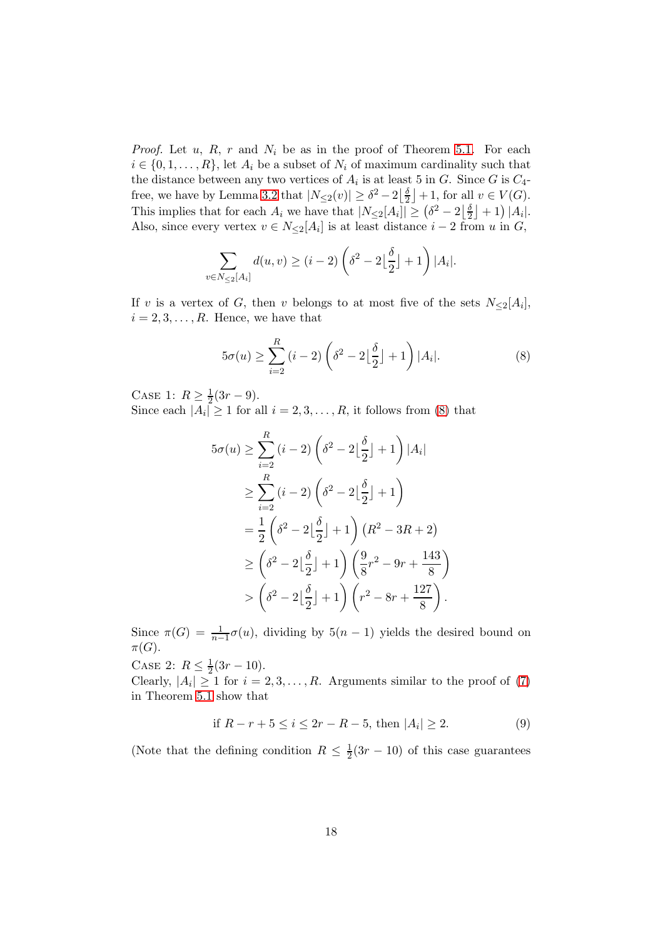*Proof.* Let  $u, R, r$  and  $N_i$  be as in the proof of Theorem [5.1.](#page-14-1) For each  $i \in \{0, 1, \ldots, R\}$ , let  $A_i$  be a subset of  $N_i$  of maximum cardinality such that the distance between any two vertices of  $A_i$  is at least 5 in G. Since G is  $C_4$ -free, we have by Lemma [3.2](#page-6-1) that  $|N_{\leq 2}(v)| \geq \delta^2 - 2\left\lfloor \frac{\delta}{2} \right\rfloor$  $\frac{\delta}{2}$  + 1, for all  $v \in V(G)$ . This implies that for each  $A_i$  we have that  $|N_{\leq 2}[A_i]| \geq (\delta^2 - 2\lfloor \frac{\delta}{2} \rfloor)$  $\frac{\delta}{2}$  | + 1) | $A_i$ |. Also, since every vertex  $v \in N_{\leq 2}[A_i]$  is at least distance  $i-2$  from u in G,

$$
\sum_{v \in N_{\leq 2}[A_i]} d(u,v) \geq (i-2) \left( \delta^2 - 2\left\lfloor \frac{\delta}{2} \right\rfloor + 1 \right) |A_i|.
$$

If v is a vertex of G, then v belongs to at most five of the sets  $N_{\leq 2}[A_i]$ ,  $i = 2, 3, \ldots, R$ . Hence, we have that

<span id="page-17-0"></span>
$$
5\sigma(u) \ge \sum_{i=2}^{R} (i-2) \left( \delta^2 - 2\left\lfloor \frac{\delta}{2} \right\rfloor + 1 \right) |A_i|.
$$
 (8)

CASE 1:  $R \geq \frac{1}{2}$  $rac{1}{2}(3r-9).$ 

Since each  $|A_i| \ge 1$  for all  $i = 2, 3, ..., R$ , it follows from [\(8\)](#page-17-0) that

$$
5\sigma(u) \geq \sum_{i=2}^{R} (i-2) \left(\delta^2 - 2\left\lfloor \frac{\delta}{2} \right\rfloor + 1\right) |A_i|
$$
  
\n
$$
\geq \sum_{i=2}^{R} (i-2) \left(\delta^2 - 2\left\lfloor \frac{\delta}{2} \right\rfloor + 1\right)
$$
  
\n
$$
= \frac{1}{2} \left(\delta^2 - 2\left\lfloor \frac{\delta}{2} \right\rfloor + 1\right) (R^2 - 3R + 2)
$$
  
\n
$$
\geq \left(\delta^2 - 2\left\lfloor \frac{\delta}{2} \right\rfloor + 1\right) \left(\frac{9}{8}r^2 - 9r + \frac{143}{8}\right)
$$
  
\n
$$
> \left(\delta^2 - 2\left\lfloor \frac{\delta}{2} \right\rfloor + 1\right) \left(r^2 - 8r + \frac{127}{8}\right).
$$

Since  $\pi(G) = \frac{1}{n-1}\sigma(u)$ , dividing by  $5(n-1)$  yields the desired bound on  $\pi(G).$ 

CASE 2:  $R \le \frac{1}{2}(3r - 10)$ .

Clearly,  $|A_i| \geq 1$  for  $i = 2, 3, ..., R$ . Arguments similar to the proof of [\(7\)](#page-15-0) in Theorem [5.1](#page-14-1) show that

if 
$$
R - r + 5 \le i \le 2r - R - 5
$$
, then  $|A_i| \ge 2$ . (9)

.

(Note that the defining condition  $R \leq \frac{1}{2}$ )  $\frac{1}{2}(3r-10)$  of this case guarantees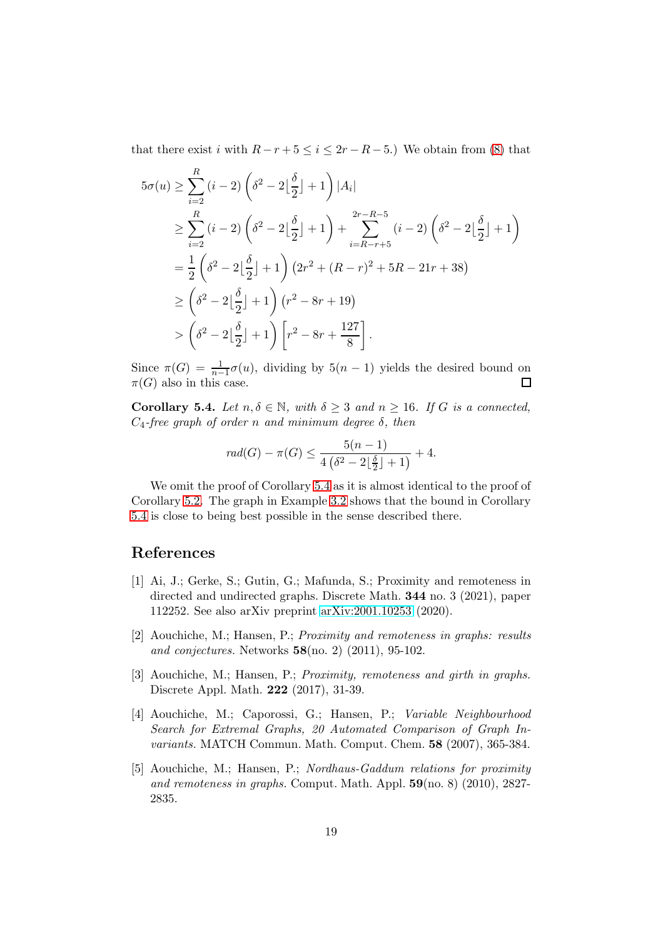that there exist i with  $R - r + 5 \leq i \leq 2r - R - 5$ .) We obtain from [\(8\)](#page-17-0) that

$$
5\sigma(u) \geq \sum_{i=2}^{R} (i-2) \left(\delta^2 - 2\left\lfloor \frac{\delta}{2} \right\rfloor + 1\right) |A_i|
$$
  
\n
$$
\geq \sum_{i=2}^{R} (i-2) \left(\delta^2 - 2\left\lfloor \frac{\delta}{2} \right\rfloor + 1\right) + \sum_{i=R-r+5}^{2r-R-5} (i-2) \left(\delta^2 - 2\left\lfloor \frac{\delta}{2} \right\rfloor + 1\right)
$$
  
\n
$$
= \frac{1}{2} \left(\delta^2 - 2\left\lfloor \frac{\delta}{2} \right\rfloor + 1\right) (2r^2 + (R-r)^2 + 5R - 21r + 38)
$$
  
\n
$$
\geq \left(\delta^2 - 2\left\lfloor \frac{\delta}{2} \right\rfloor + 1\right) (r^2 - 8r + 19)
$$
  
\n
$$
> \left(\delta^2 - 2\left\lfloor \frac{\delta}{2} \right\rfloor + 1\right) \left[r^2 - 8r + \frac{127}{8}\right].
$$

Since  $\pi(G) = \frac{1}{n-1}\sigma(u)$ , dividing by  $5(n-1)$  yields the desired bound on  $\pi(G)$  also in this case.  $\Box$ 

<span id="page-18-3"></span>Corollary 5.4. Let  $n, \delta \in \mathbb{N}$ , with  $\delta \geq 3$  and  $n \geq 16$ . If G is a connected,  $C_4$ -free graph of order n and minimum degree  $\delta$ , then

$$
rad(G) - \pi(G) \le \frac{5(n-1)}{4(\delta^2 - 2\lfloor \frac{\delta}{2} \rfloor + 1)} + 4.
$$

We omit the proof of Corollary [5.4](#page-18-3) as it is almost identical to the proof of Corollary [5.2.](#page-16-0) The graph in Example [3.2](#page-7-0) shows that the bound in Corollary [5.4](#page-18-3) is close to being best possible in the sense described there.

# <span id="page-18-1"></span>References

- [1] Ai, J.; Gerke, S.; Gutin, G.; Mafunda, S.; Proximity and remoteness in directed and undirected graphs. Discrete Math. 344 no. 3 (2021), paper 112252. See also arXiv preprint [arXiv:2001.10253](http://arxiv.org/abs/2001.10253) (2020).
- <span id="page-18-0"></span>[2] Aouchiche, M.; Hansen, P.; Proximity and remoteness in graphs: results and conjectures. Networks 58(no. 2) (2011), 95-102.
- <span id="page-18-2"></span>[3] Aouchiche, M.; Hansen, P.; Proximity, remoteness and girth in graphs. Discrete Appl. Math. 222 (2017), 31-39.
- [4] Aouchiche, M.; Caporossi, G.; Hansen, P.; Variable Neighbourhood Search for Extremal Graphs, 20 Automated Comparison of Graph Invariants. MATCH Commun. Math. Comput. Chem. 58 (2007), 365-384.
- [5] Aouchiche, M.; Hansen, P.; Nordhaus-Gaddum relations for proximity and remoteness in graphs. Comput. Math. Appl.  $59$ (no. 8) (2010), 2827-2835.